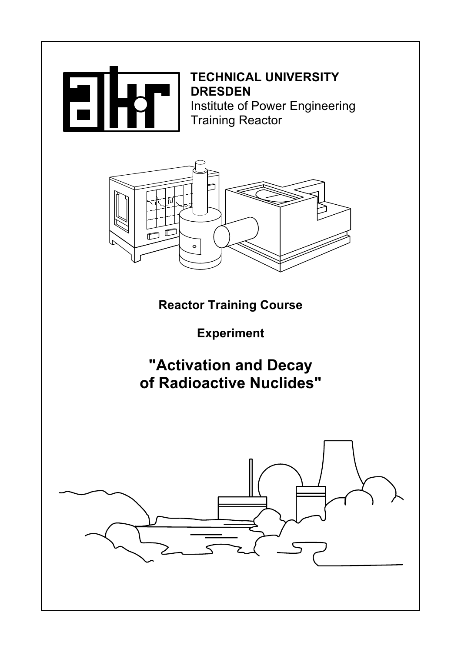

TECHNICAL UNIVERSITY<br>DRESDEN Institute of Power Engineering **Training Reactor** 



Reactor Training Course

Experiment

# "Activation and Decay of Radioactive Nuclides"

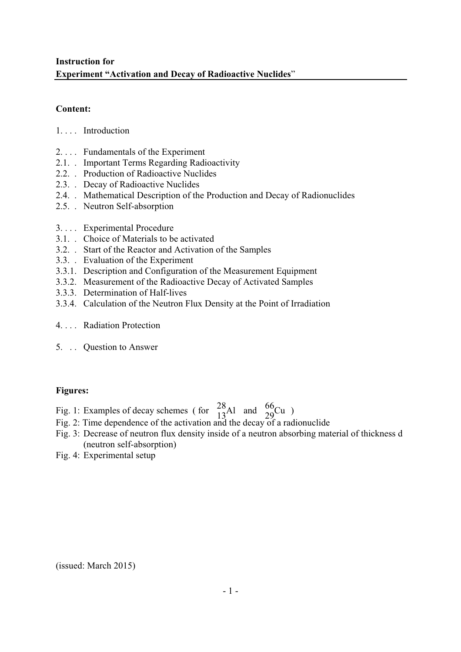# Instruction for Experiment "Activation and Decay of Radioactive Nuclides"

### Content:

- 1. . . . Introduction
- 2. . . . Fundamentals of the Experiment
- 2.1. . Important Terms Regarding Radioactivity
- 2.2. . Production of Radioactive Nuclides
- 2.3. . Decay of Radioactive Nuclides
- 2.4. . Mathematical Description of the Production and Decay of Radionuclides
- 2.5. . Neutron Self-absorption
- 3. . . . Experimental Procedure
- 3.1. . Choice of Materials to be activated
- 3.2. . Start of the Reactor and Activation of the Samples
- 3.3. . Evaluation of the Experiment
- 3.3.1. Description and Configuration of the Measurement Equipment
- 3.3.2. Measurement of the Radioactive Decay of Activated Samples
- 3.3.3. Determination of Half-lives
- 3.3.4. Calculation of the Neutron Flux Density at the Point of Irradiation
- 4. . . . Radiation Protection
- 5. . . Question to Answer

# Figures:

- Fig. 1: Examples of decay schemes (for  $\frac{28}{13}$ Al and  $\frac{66}{29}$ Cu)
- Fig. 2: Time dependence of the activation and the decay of a radionuclide
- Fig. 3: Decrease of neutron flux density inside of a neutron absorbing material of thickness d (neutron self-absorption)
- Fig. 4: Experimental setup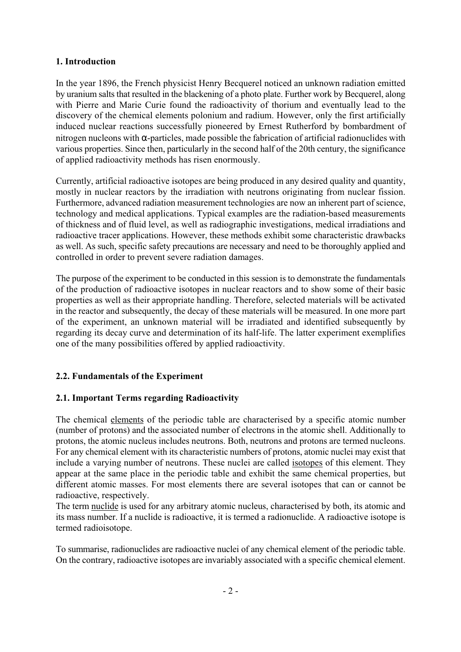#### 1. Introduction

In the year 1896, the French physicist Henry Becquerel noticed an unknown radiation emitted by uranium salts that resulted in the blackening of a photo plate. Further work by Becquerel, along with Pierre and Marie Curie found the radioactivity of thorium and eventually lead to the discovery of the chemical elements polonium and radium. However, only the first artificially induced nuclear reactions successfully pioneered by Ernest Rutherford by bombardment of nitrogen nucleons with α-particles, made possible the fabrication of artificial radionuclides with various properties. Since then, particularly in the second half of the 20th century, the significance of applied radioactivity methods has risen enormously.

Currently, artificial radioactive isotopes are being produced in any desired quality and quantity, mostly in nuclear reactors by the irradiation with neutrons originating from nuclear fission. Furthermore, advanced radiation measurement technologies are now an inherent part of science, technology and medical applications. Typical examples are the radiation-based measurements of thickness and of fluid level, as well as radiographic investigations, medical irradiations and radioactive tracer applications. However, these methods exhibit some characteristic drawbacks as well. As such, specific safety precautions are necessary and need to be thoroughly applied and controlled in order to prevent severe radiation damages.

The purpose of the experiment to be conducted in this session is to demonstrate the fundamentals of the production of radioactive isotopes in nuclear reactors and to show some of their basic properties as well as their appropriate handling. Therefore, selected materials will be activated in the reactor and subsequently, the decay of these materials will be measured. In one more part of the experiment, an unknown material will be irradiated and identified subsequently by regarding its decay curve and determination of its half-life. The latter experiment exemplifies one of the many possibilities offered by applied radioactivity.

#### 2.2. Fundamentals of the Experiment

#### 2.1. Important Terms regarding Radioactivity

The chemical elements of the periodic table are characterised by a specific atomic number (number of protons) and the associated number of electrons in the atomic shell. Additionally to protons, the atomic nucleus includes neutrons. Both, neutrons and protons are termed nucleons. For any chemical element with its characteristic numbers of protons, atomic nuclei may exist that include a varying number of neutrons. These nuclei are called isotopes of this element. They appear at the same place in the periodic table and exhibit the same chemical properties, but different atomic masses. For most elements there are several isotopes that can or cannot be radioactive, respectively.

The term nuclide is used for any arbitrary atomic nucleus, characterised by both, its atomic and its mass number. If a nuclide is radioactive, it is termed a radionuclide. A radioactive isotope is termed radioisotope.

To summarise, radionuclides are radioactive nuclei of any chemical element of the periodic table. On the contrary, radioactive isotopes are invariably associated with a specific chemical element.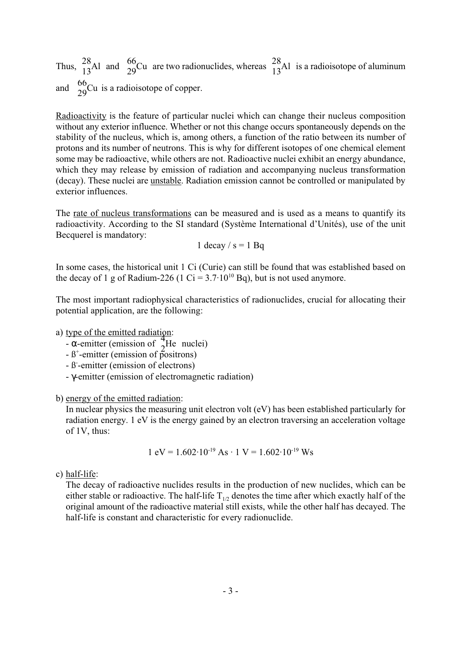Thus,  $\frac{28}{13}$ Al and  $\frac{66}{29}$ Cu are two radionuclides, whereas  $\frac{28}{13}$ Al is a radioisotope of aluminum and  $\frac{66}{29}$ Cu is a radioisotope of copper.

Radioactivity is the feature of particular nuclei which can change their nucleus composition without any exterior influence. Whether or not this change occurs spontaneously depends on the stability of the nucleus, which is, among others, a function of the ratio between its number of protons and its number of neutrons. This is why for different isotopes of one chemical element some may be radioactive, while others are not. Radioactive nuclei exhibit an energy abundance, which they may release by emission of radiation and accompanying nucleus transformation (decay). These nuclei are unstable. Radiation emission cannot be controlled or manipulated by exterior influences.

The rate of nucleus transformations can be measured and is used as a means to quantify its radioactivity. According to the SI standard (Système International d'Unités), use of the unit Becquerel is mandatory:

1 decay  $/s = 1$  Bq

In some cases, the historical unit 1 Ci (Curie) can still be found that was established based on the decay of 1 g of Radium-226 (1 Ci =  $3.7 \cdot 10^{10}$  Bq), but is not used anymore.

The most important radiophysical characteristics of radionuclides, crucial for allocating their potential application, are the following:

a) type of the emitted radiation:

- $\frac{4}{4}$ .<br>-  $\alpha$ -emitter (emission of  $\frac{4}{2}$ He nuclei)
- $-$  & emitter (emission of  $2^{11}$  med<br> $\beta^+$ -emitter (emission of positrons)
- ß -emitter (emission of electrons) -
- γ-emitter (emission of electromagnetic radiation)

b) energy of the emitted radiation:

In nuclear physics the measuring unit electron volt (eV) has been established particularly for radiation energy. 1 eV is the energy gained by an electron traversing an acceleration voltage of 1V, thus:

$$
1 \text{ eV} = 1.602 \cdot 10^{-19} \text{ As} \cdot 1 \text{ V} = 1.602 \cdot 10^{-19} \text{ Ws}
$$

c) half-life:

The decay of radioactive nuclides results in the production of new nuclides, which can be either stable or radioactive. The half-life  $T_{1/2}$  denotes the time after which exactly half of the original amount of the radioactive material still exists, while the other half has decayed. The half-life is constant and characteristic for every radionuclide.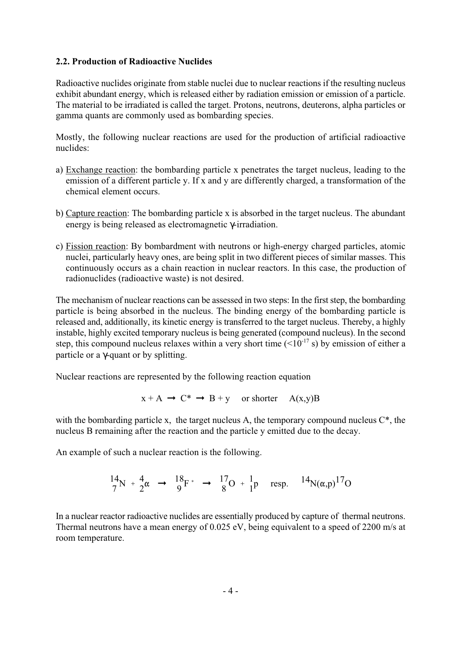#### 2.2. Production of Radioactive Nuclides

Radioactive nuclides originate from stable nuclei due to nuclear reactions if the resulting nucleus exhibit abundant energy, which is released either by radiation emission or emission of a particle. The material to be irradiated is called the target. Protons, neutrons, deuterons, alpha particles or gamma quants are commonly used as bombarding species.

Mostly, the following nuclear reactions are used for the production of artificial radioactive nuclides:

- a) Exchange reaction: the bombarding particle x penetrates the target nucleus, leading to the emission of a different particle y. If x and y are differently charged, a transformation of the chemical element occurs.
- b) Capture reaction: The bombarding particle x is absorbed in the target nucleus. The abundant energy is being released as electromagnetic γ-irradiation.
- c) Fission reaction: By bombardment with neutrons or high-energy charged particles, atomic nuclei, particularly heavy ones, are being split in two different pieces of similar masses. This continuously occurs as a chain reaction in nuclear reactors. In this case, the production of radionuclides (radioactive waste) is not desired.

The mechanism of nuclear reactions can be assessed in two steps: In the first step, the bombarding particle is being absorbed in the nucleus. The binding energy of the bombarding particle is released and, additionally, its kinetic energy is transferred to the target nucleus. Thereby, a highly instable, highly excited temporary nucleus is being generated (compound nucleus). In the second step, this compound nucleus relaxes within a very short time  $(<10^{-17} s$ ) by emission of either a particle or a γ-quant or by splitting.

Nuclear reactions are represented by the following reaction equation

$$
x + A \rightarrow C^* \rightarrow B + y \text{ or shorter } A(x,y)B
$$

with the bombarding particle x, the target nucleus A, the temporary compound nucleus  $C^*$ , the nucleus B remaining after the reaction and the particle y emitted due to the decay.

An example of such a nuclear reaction is the following.

 $\frac{14}{7}N + \frac{4}{2}$  $\alpha \rightarrow \frac{18}{9}F^* \rightarrow \frac{17}{8}O + \frac{1}{1}p$  resp.  $14N(\alpha, p)^{17}O$ 

In a nuclear reactor radioactive nuclides are essentially produced by capture of thermal neutrons. Thermal neutrons have a mean energy of 0.025 eV, being equivalent to a speed of 2200 m/s at room temperature.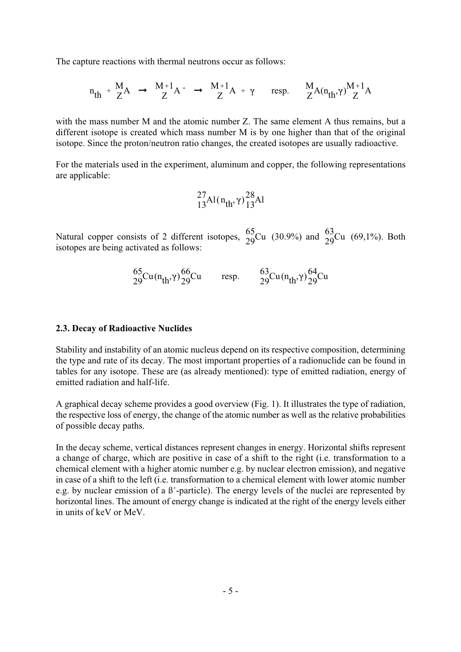The capture reactions with thermal neutrons occur as follows:

$$
n_{th} + \frac{M}{Z}A \rightarrow \frac{M+1}{Z}A^* \rightarrow \frac{M+1}{Z}A + \gamma \quad \text{resp.} \quad \frac{M}{Z}A(n_{th},\gamma)\frac{M+1}{Z}A
$$

with the mass number M and the atomic number Z. The same element A thus remains, but a different isotope is created which mass number M is by one higher than that of the original isotope. Since the proton/neutron ratio changes, the created isotopes are usually radioactive.

For the materials used in the experiment, aluminum and copper, the following representations are applicable:

$$
^{27}_{13}Al(n_{\rm th}, \gamma)^{28}_{13}Al
$$

Natural copper consists of 2 different isotopes,  $\frac{65}{29}$ Cu (30.9%) and  $\frac{63}{29}$ Cu (69,1%). Both isotopes are being activated as follows:

$$
{}^{65}_{29}Cu(n_{th},\gamma){}^{66}_{29}Cu
$$
 resp. 
$$
{}^{63}_{29}Cu(n_{th},\gamma){}^{64}_{29}Cu
$$

#### 2.3. Decay of Radioactive Nuclides

Stability and instability of an atomic nucleus depend on its respective composition, determining the type and rate of its decay. The most important properties of a radionuclide can be found in tables for any isotope. These are (as already mentioned): type of emitted radiation, energy of emitted radiation and half-life.

A graphical decay scheme provides a good overview (Fig. 1). It illustrates the type of radiation, the respective loss of energy, the change of the atomic number as well as the relative probabilities of possible decay paths.

In the decay scheme, vertical distances represent changes in energy. Horizontal shifts represent a change of charge, which are positive in case of a shift to the right (i.e. transformation to a chemical element with a higher atomic number e.g. by nuclear electron emission), and negative in case of a shift to the left (i.e. transformation to a chemical element with lower atomic number e.g. by nuclear emission of a  $\beta^+$ -particle). The energy levels of the nuclei are represented by horizontal lines. The amount of energy change is indicated at the right of the energy levels either in units of keV or MeV.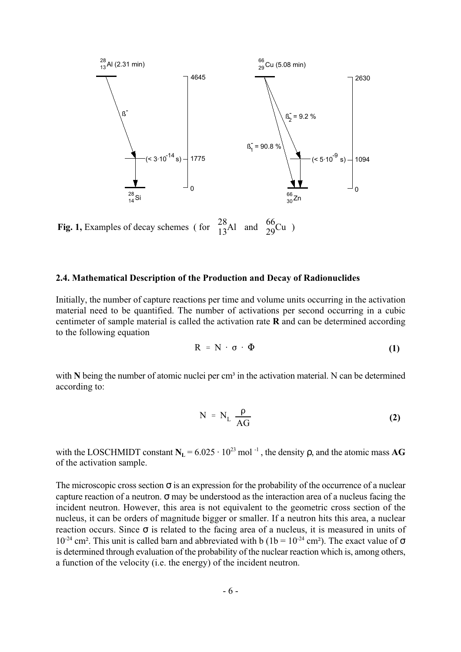

**Fig. 1,** Examples of decay schemes (for  $\frac{28}{13}$ Al and  $\frac{66}{29}$ Cu)

#### 2.4. Mathematical Description of the Production and Decay of Radionuclides

Initially, the number of capture reactions per time and volume units occurring in the activation material need to be quantified. The number of activations per second occurring in a cubic centimeter of sample material is called the activation rate R and can be determined according to the following equation

$$
R = N \cdot \sigma \cdot \Phi \tag{1}
$$

with  $N$  being the number of atomic nuclei per cm<sup>3</sup> in the activation material. N can be determined according to:

$$
N = N_{L} \frac{\rho}{AG}
$$
 (2)

with the LOSCHMIDT constant  $N_L = 6.025 \cdot 10^{23}$  mol<sup>-1</sup>, the density  $\rho$ , and the atomic mass AG of the activation sample.

The microscopic cross section  $\sigma$  is an expression for the probability of the occurrence of a nuclear capture reaction of a neutron.  $\sigma$  may be understood as the interaction area of a nucleus facing the incident neutron. However, this area is not equivalent to the geometric cross section of the nucleus, it can be orders of magnitude bigger or smaller. If a neutron hits this area, a nuclear reaction occurs. Since  $\sigma$  is related to the facing area of a nucleus, it is measured in units of  $10^{-24}$  cm<sup>2</sup>. This unit is called barn and abbreviated with b ( $1b = 10^{-24}$  cm<sup>2</sup>). The exact value of  $\sigma$ is determined through evaluation of the probability of the nuclear reaction which is, among others, a function of the velocity (i.e. the energy) of the incident neutron.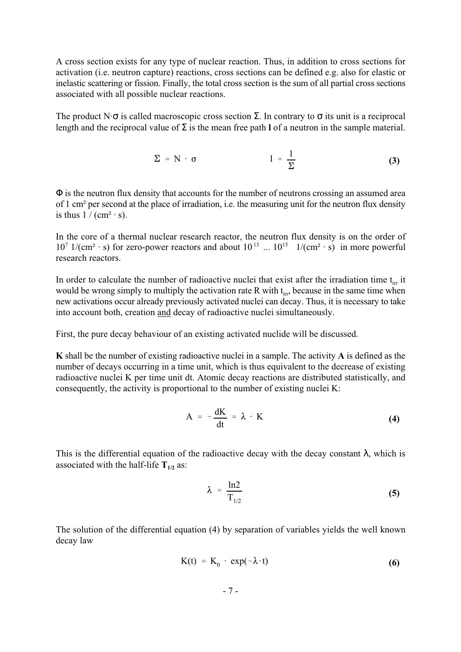A cross section exists for any type of nuclear reaction. Thus, in addition to cross sections for activation (i.e. neutron capture) reactions, cross sections can be defined e.g. also for elastic or inelastic scattering or fission. Finally, the total cross section is the sum of all partial cross sections associated with all possible nuclear reactions.

The product N· $\sigma$  is called macroscopic cross section Σ. In contrary to  $\sigma$  its unit is a reciprocal length and the reciprocal value of  $\Sigma$  is the mean free path l of a neutron in the sample material.

$$
\Sigma = N \cdot \sigma \qquad \qquad 1 = \frac{1}{\Sigma} \qquad \qquad (3)
$$

Φ is the neutron flux density that accounts for the number of neutrons crossing an assumed area of 1 cm² per second at the place of irradiation, i.e. the measuring unit for the neutron flux density is thus  $1 / (cm<sup>2</sup> \cdot s)$ .

In the core of a thermal nuclear research reactor, the neutron flux density is on the order of  $10^7$  1/(cm<sup>2</sup> · s) for zero-power reactors and about  $10^{13}$  ...  $10^{15}$  1/(cm<sup>2</sup> · s) in more powerful research reactors.

In order to calculate the number of radioactive nuclei that exist after the irradiation time  $t_{irr}$  it would be wrong simply to multiply the activation rate R with  $t_{irr}$ , because in the same time when new activations occur already previously activated nuclei can decay. Thus, it is necessary to take into account both, creation and decay of radioactive nuclei simultaneously.

First, the pure decay behaviour of an existing activated nuclide will be discussed.

K shall be the number of existing radioactive nuclei in a sample. The activity A is defined as the number of decays occurring in a time unit, which is thus equivalent to the decrease of existing radioactive nuclei K per time unit dt. Atomic decay reactions are distributed statistically, and consequently, the activity is proportional to the number of existing nuclei K:

$$
A = -\frac{dK}{dt} = \lambda \cdot K \tag{4}
$$

This is the differential equation of the radioactive decay with the decay constant  $\lambda$ , which is associated with the half-life  $T_{1/2}$  as:

$$
\lambda = \frac{\ln 2}{T_{1/2}}
$$
 (5)

The solution of the differential equation (4) by separation of variables yields the well known decay law

$$
K(t) = K_0 \cdot \exp(-\lambda \cdot t) \tag{6}
$$

$$
-7 -
$$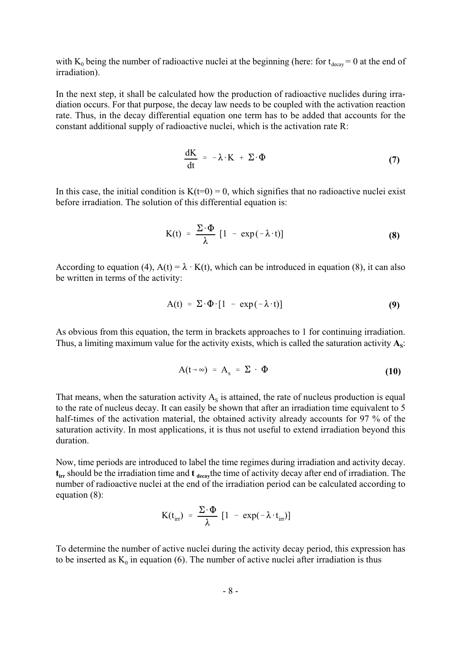with  $K_0$  being the number of radioactive nuclei at the beginning (here: for  $t_{decay} = 0$  at the end of irradiation).

In the next step, it shall be calculated how the production of radioactive nuclides during irradiation occurs. For that purpose, the decay law needs to be coupled with the activation reaction rate. Thus, in the decay differential equation one term has to be added that accounts for the constant additional supply of radioactive nuclei, which is the activation rate R:

$$
\frac{dK}{dt} = -\lambda \cdot K + \Sigma \cdot \Phi \tag{7}
$$

In this case, the initial condition is  $K(t=0) = 0$ , which signifies that no radioactive nuclei exist before irradiation. The solution of this differential equation is:

$$
K(t) = \frac{\Sigma \cdot \Phi}{\lambda} [1 - \exp(-\lambda \cdot t)] \tag{8}
$$

According to equation (4),  $A(t) = \lambda \cdot K(t)$ , which can be introduced in equation (8), it can also be written in terms of the activity:

$$
A(t) = \Sigma \cdot \Phi \cdot [1 - \exp(-\lambda \cdot t)] \tag{9}
$$

As obvious from this equation, the term in brackets approaches to 1 for continuing irradiation. Thus, a limiting maximum value for the activity exists, which is called the saturation activity  $A_s$ :

$$
A(t \to \infty) = A_s = \Sigma \cdot \Phi \tag{10}
$$

That means, when the saturation activity  $A_s$  is attained, the rate of nucleus production is equal to the rate of nucleus decay. It can easily be shown that after an irradiation time equivalent to 5 half-times of the activation material, the obtained activity already accounts for 97 % of the saturation activity. In most applications, it is thus not useful to extend irradiation beyond this duration.

Now, time periods are introduced to label the time regimes during irradiation and activity decay.  $t_{irr}$  should be the irradiation time and  $t_{decay}$ the time of activity decay after end of irradiation. The number of radioactive nuclei at the end of the irradiation period can be calculated according to equation (8):

$$
K(t_{irr}) = \frac{\Sigma \cdot \Phi}{\lambda} [1 - \exp(-\lambda \cdot t_{irr})]
$$

To determine the number of active nuclei during the activity decay period, this expression has to be inserted as  $K_0$  in equation (6). The number of active nuclei after irradiation is thus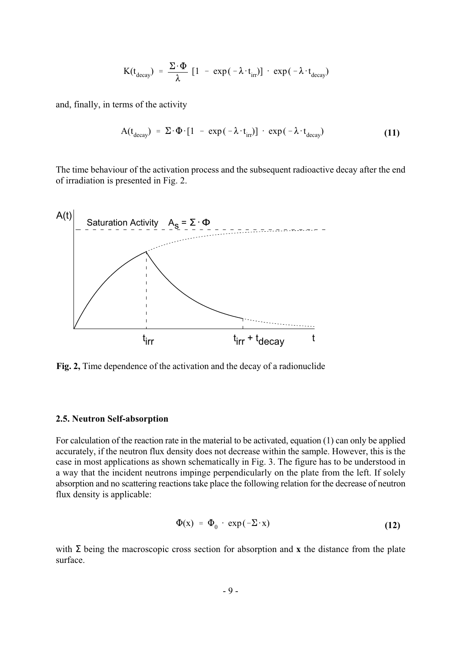$$
K(t_{decay}) = \frac{\Sigma \cdot \Phi}{\lambda} [1 - exp(-\lambda \cdot t_{irr})] \cdot exp(-\lambda \cdot t_{decay})
$$

and, finally, in terms of the activity

$$
A(t_{\text{decay}}) = \Sigma \cdot \Phi \cdot [1 - \exp(-\lambda \cdot t_{\text{irr}})] \cdot \exp(-\lambda \cdot t_{\text{decay}}) \tag{11}
$$

The time behaviour of the activation process and the subsequent radioactive decay after the end of irradiation is presented in Fig. 2.



Fig. 2, Time dependence of the activation and the decay of a radionuclide

#### 2.5. Neutron Self-absorption

For calculation of the reaction rate in the material to be activated, equation (1) can only be applied accurately, if the neutron flux density does not decrease within the sample. However, this is the case in most applications as shown schematically in Fig. 3. The figure has to be understood in a way that the incident neutrons impinge perpendicularly on the plate from the left. If solely absorption and no scattering reactions take place the following relation for the decrease of neutron flux density is applicable:

$$
\Phi(x) = \Phi_0 \cdot \exp(-\Sigma \cdot x) \tag{12}
$$

with  $\Sigma$  being the macroscopic cross section for absorption and x the distance from the plate surface.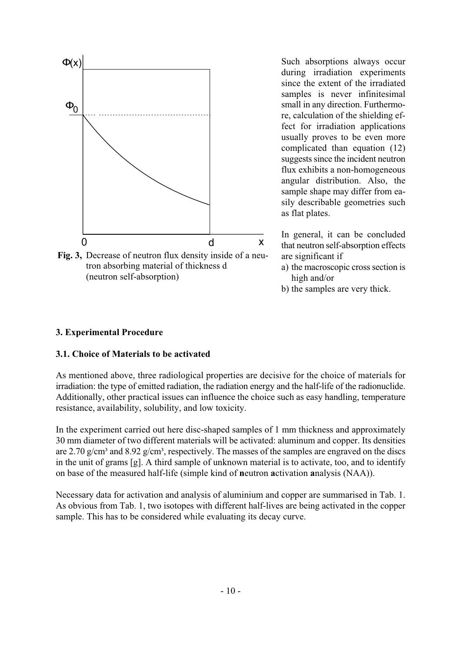

Fig. 3, Decrease of neutron flux density inside of a neutron absorbing material of thickness d (neutron self-absorption)

Such absorptions always occur during irradiation experiments since the extent of the irradiated samples is never infinitesimal small in any direction. Furthermore, calculation of the shielding effect for irradiation applications usually proves to be even more complicated than equation (12) suggests since the incident neutron flux exhibits a non-homogeneous angular distribution. Also, the sample shape may differ from easily describable geometries such as flat plates.

In general, it can be concluded that neutron self-absorption effects are significant if

- a) the macroscopic cross section is high and/or
- b) the samples are very thick.

#### 3. Experimental Procedure

#### 3.1. Choice of Materials to be activated

As mentioned above, three radiological properties are decisive for the choice of materials for irradiation: the type of emitted radiation, the radiation energy and the half-life of the radionuclide. Additionally, other practical issues can influence the choice such as easy handling, temperature resistance, availability, solubility, and low toxicity.

In the experiment carried out here disc-shaped samples of 1 mm thickness and approximately 30 mm diameter of two different materials will be activated: aluminum and copper. Its densities are 2.70 g/cm<sup>3</sup> and 8.92 g/cm<sup>3</sup>, respectively. The masses of the samples are engraved on the discs in the unit of grams [g]. A third sample of unknown material is to activate, too, and to identify on base of the measured half-life (simple kind of neutron activation analysis (NAA)).

Necessary data for activation and analysis of aluminium and copper are summarised in Tab. 1. As obvious from Tab. 1, two isotopes with different half-lives are being activated in the copper sample. This has to be considered while evaluating its decay curve.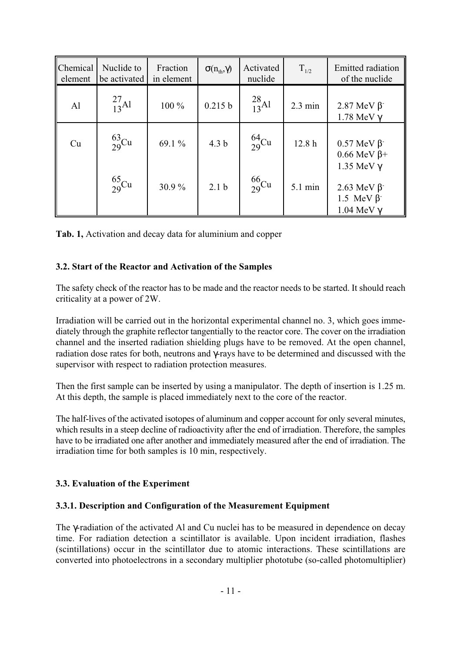| Chemical<br>element | Nuclide to<br>be activated | Fraction<br>in element | $\sigma(n_{\text{th}}, \gamma)$ | Activated<br>nuclide | $T_{1/2}$         | <b>Emitted</b> radiation<br>of the nuclide                                      |
|---------------------|----------------------------|------------------------|---------------------------------|----------------------|-------------------|---------------------------------------------------------------------------------|
| AI                  | $^{27}_{13}$ Al            | 100 %                  | 0.215 b                         | $^{28}_{13}$ Al      | $2.3 \text{ min}$ | 2.87 MeV $\beta$<br>$1.78$ MeV $\gamma$                                         |
| Cu                  | $\frac{63}{29}$ Cu         | 69.1 %                 | 4.3 <sub>b</sub>                | $^{64}_{29}$ Cu      | 12.8h             | $0.57 \text{ MeV } \beta^-$<br>$0.66$ MeV $\beta$ +                             |
|                     | $^{65}_{29}$ Cu            | 30.9%                  | 2.1 <sub>b</sub>                | $^{66}_{29}$ Cu      | 5.1 min           | 1.35 MeV $\gamma$<br>2.63 MeV $\beta$<br>1.5 MeV $\beta$<br>$1.04$ MeV $\gamma$ |

Tab. 1, Activation and decay data for aluminium and copper

#### 3.2. Start of the Reactor and Activation of the Samples

The safety check of the reactor has to be made and the reactor needs to be started. It should reach criticality at a power of 2W.

Irradiation will be carried out in the horizontal experimental channel no. 3, which goes immediately through the graphite reflector tangentially to the reactor core. The cover on the irradiation channel and the inserted radiation shielding plugs have to be removed. At the open channel, radiation dose rates for both, neutrons and γ-rays have to be determined and discussed with the supervisor with respect to radiation protection measures.

Then the first sample can be inserted by using a manipulator. The depth of insertion is 1.25 m. At this depth, the sample is placed immediately next to the core of the reactor.

The half-lives of the activated isotopes of aluminum and copper account for only several minutes, which results in a steep decline of radioactivity after the end of irradiation. Therefore, the samples have to be irradiated one after another and immediately measured after the end of irradiation. The irradiation time for both samples is 10 min, respectively.

#### 3.3. Evaluation of the Experiment

#### 3.3.1. Description and Configuration of the Measurement Equipment

The γ-radiation of the activated Al and Cu nuclei has to be measured in dependence on decay time. For radiation detection a scintillator is available. Upon incident irradiation, flashes (scintillations) occur in the scintillator due to atomic interactions. These scintillations are converted into photoelectrons in a secondary multiplier phototube (so-called photomultiplier)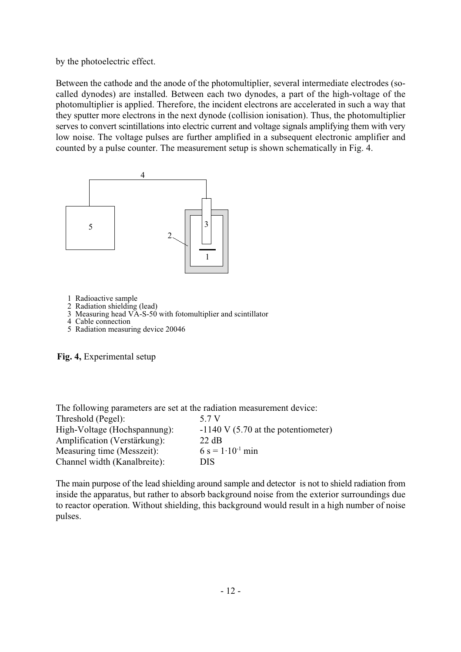by the photoelectric effect.

Between the cathode and the anode of the photomultiplier, several intermediate electrodes (socalled dynodes) are installed. Between each two dynodes, a part of the high-voltage of the photomultiplier is applied. Therefore, the incident electrons are accelerated in such a way that they sputter more electrons in the next dynode (collision ionisation). Thus, the photomultiplier serves to convert scintillations into electric current and voltage signals amplifying them with very low noise. The voltage pulses are further amplified in a subsequent electronic amplifier and counted by a pulse counter. The measurement setup is shown schematically in Fig. 4.



- 1 Radioactive sample
- 2 Radiation shielding (lead)
- 3 Measuring head VA-S-50 with fotomultiplier and scintillator
- 4 Cable connection
- 5 Radiation measuring device 20046

Fig. 4, Experimental setup

| The following parameters are set at the radiation measurement device: |                                       |
|-----------------------------------------------------------------------|---------------------------------------|
| Threshold (Pegel):                                                    | 5 7 V                                 |
| High-Voltage (Hochspannung):                                          | $-1140$ V (5.70 at the potentiometer) |
| Amplification (Verstärkung):                                          | 22 dB                                 |
| Measuring time (Messzeit):                                            | $6 s = 1.10^{-1} min$                 |
| Channel width (Kanalbreite):                                          | <b>DIS</b>                            |

The main purpose of the lead shielding around sample and detector is not to shield radiation from inside the apparatus, but rather to absorb background noise from the exterior surroundings due to reactor operation. Without shielding, this background would result in a high number of noise pulses.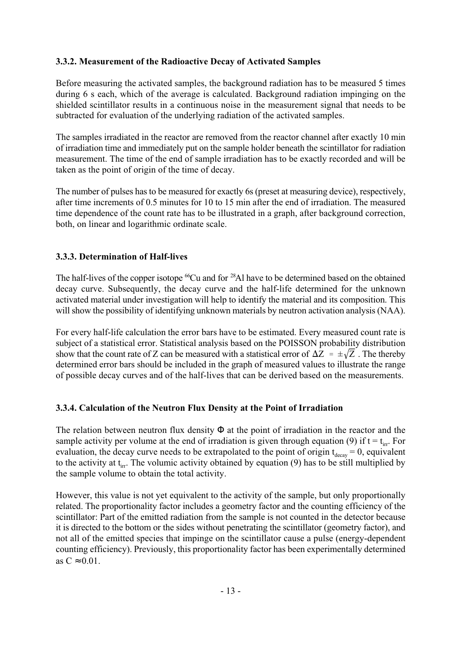#### 3.3.2. Measurement of the Radioactive Decay of Activated Samples

Before measuring the activated samples, the background radiation has to be measured 5 times during 6 s each, which of the average is calculated. Background radiation impinging on the shielded scintillator results in a continuous noise in the measurement signal that needs to be subtracted for evaluation of the underlying radiation of the activated samples.

The samples irradiated in the reactor are removed from the reactor channel after exactly 10 min of irradiation time and immediately put on the sample holder beneath the scintillator for radiation measurement. The time of the end of sample irradiation has to be exactly recorded and will be taken as the point of origin of the time of decay.

The number of pulses has to be measured for exactly 6s (preset at measuring device), respectively, after time increments of 0.5 minutes for 10 to 15 min after the end of irradiation. The measured time dependence of the count rate has to be illustrated in a graph, after background correction, both, on linear and logarithmic ordinate scale.

# 3.3.3. Determination of Half-lives

The half-lives of the copper isotope  ${}^{66}Cu$  and for  ${}^{28}Al$  have to be determined based on the obtained decay curve. Subsequently, the decay curve and the half-life determined for the unknown activated material under investigation will help to identify the material and its composition. This will show the possibility of identifying unknown materials by neutron activation analysis (NAA).

show that the count rate of Z can be measured with a statistical error of  $\Delta Z = \pm \sqrt{Z}$ . The thereby For every half-life calculation the error bars have to be estimated. Every measured count rate is subject of a statistical error. Statistical analysis based on the POISSON probability distribution determined error bars should be included in the graph of measured values to illustrate the range of possible decay curves and of the half-lives that can be derived based on the measurements.

#### 3.3.4. Calculation of the Neutron Flux Density at the Point of Irradiation

The relation between neutron flux density  $\Phi$  at the point of irradiation in the reactor and the sample activity per volume at the end of irradiation is given through equation (9) if  $t = t_{irr}$ . For evaluation, the decay curve needs to be extrapolated to the point of origin  $t_{decay} = 0$ , equivalent to the activity at  $t_{irr}$ . The volumic activity obtained by equation (9) has to be still multiplied by the sample volume to obtain the total activity.

However, this value is not yet equivalent to the activity of the sample, but only proportionally related. The proportionality factor includes a geometry factor and the counting efficiency of the scintillator: Part of the emitted radiation from the sample is not counted in the detector because it is directed to the bottom or the sides without penetrating the scintillator (geometry factor), and not all of the emitted species that impinge on the scintillator cause a pulse (energy-dependent counting efficiency). Previously, this proportionality factor has been experimentally determined as  $C \approx 0.01$ .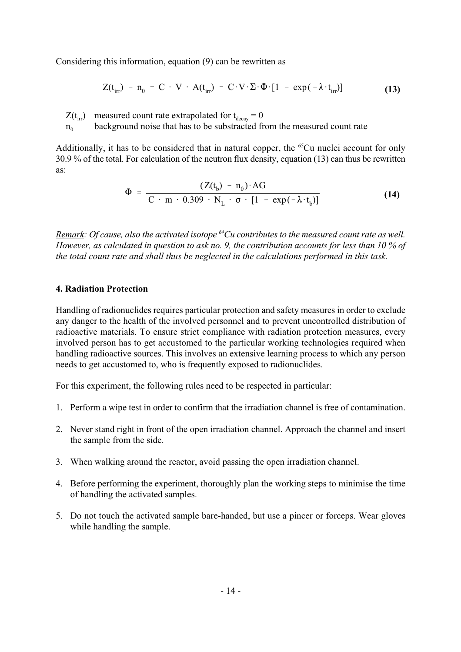Considering this information, equation (9) can be rewritten as

$$
Z(t_{irr}) - n_0 = C \cdot V \cdot A(t_{irr}) = C \cdot V \cdot \Sigma \cdot \Phi \cdot [1 - \exp(-\lambda \cdot t_{irr})]
$$
(13)

 $Z(t_{irr})$  measured count rate extrapolated for  $t_{decay} = 0$ 

 $n_0$  background noise that has to be substracted from the measured count rate

Additionally, it has to be considered that in natural copper, the  ${}^{65}Cu$  nuclei account for only 30.9 % of the total. For calculation of the neutron flux density, equation (13) can thus be rewritten as:

$$
\Phi = \frac{(Z(t_b) - n_0) \cdot AG}{C \cdot m \cdot 0.309 \cdot N_L \cdot \sigma \cdot [1 - \exp(-\lambda \cdot t_b)]}
$$
(14)

Remark: Of cause, also the activated isotope  $^{64}Cu$  contributes to the measured count rate as well. However, as calculated in question to ask no. 9, the contribution accounts for less than 10 % of the total count rate and shall thus be neglected in the calculations performed in this task.

#### 4. Radiation Protection

Handling of radionuclides requires particular protection and safety measures in order to exclude any danger to the health of the involved personnel and to prevent uncontrolled distribution of radioactive materials. To ensure strict compliance with radiation protection measures, every involved person has to get accustomed to the particular working technologies required when handling radioactive sources. This involves an extensive learning process to which any person needs to get accustomed to, who is frequently exposed to radionuclides.

For this experiment, the following rules need to be respected in particular:

- 1. Perform a wipe test in order to confirm that the irradiation channel is free of contamination.
- 2. Never stand right in front of the open irradiation channel. Approach the channel and insert the sample from the side.
- 3. When walking around the reactor, avoid passing the open irradiation channel.
- 4. Before performing the experiment, thoroughly plan the working steps to minimise the time of handling the activated samples.
- 5. Do not touch the activated sample bare-handed, but use a pincer or forceps. Wear gloves while handling the sample.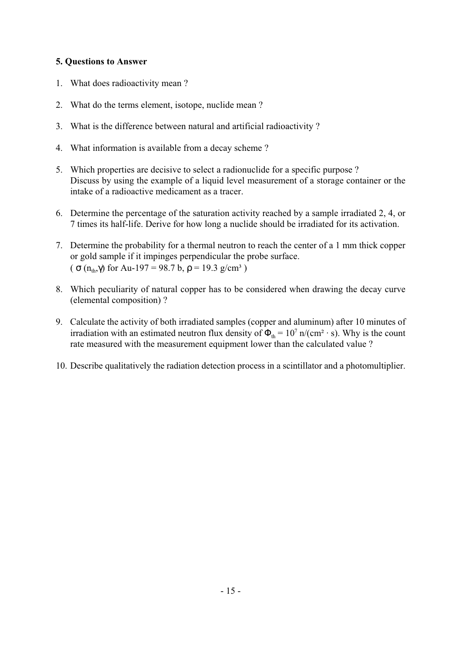### 5. Questions to Answer

- 1. What does radioactivity mean ?
- 2. What do the terms element, isotope, nuclide mean ?
- 3. What is the difference between natural and artificial radioactivity ?
- 4. What information is available from a decay scheme ?
- 5. Which properties are decisive to select a radionuclide for a specific purpose ? Discuss by using the example of a liquid level measurement of a storage container or the intake of a radioactive medicament as a tracer.
- 6. Determine the percentage of the saturation activity reached by a sample irradiated 2, 4, or 7 times its half-life. Derive for how long a nuclide should be irradiated for its activation.
- 7. Determine the probability for a thermal neutron to reach the center of a 1 mm thick copper or gold sample if it impinges perpendicular the probe surface. (  $\sigma$  (n<sub>th</sub>, $\gamma$ ) for Au-197 = 98.7 b,  $\rho$  = 19.3 g/cm<sup>3</sup>)
- 8. Which peculiarity of natural copper has to be considered when drawing the decay curve (elemental composition) ?
- 9. Calculate the activity of both irradiated samples (copper and aluminum) after 10 minutes of irradiation with an estimated neutron flux density of  $\Phi_{th} = 10^7$  n/(cm<sup>2</sup> · s). Why is the count rate measured with the measurement equipment lower than the calculated value ?
- 10. Describe qualitatively the radiation detection process in a scintillator and a photomultiplier.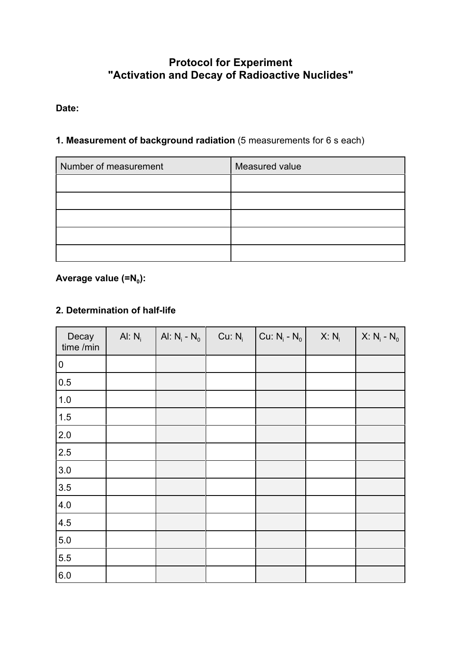# Protocol for Experiment "Activation and Decay of Radioactive Nuclides"

# Date:

# 1. Measurement of background radiation (5 measurements for 6 s each)

| Number of measurement | Measured value |  |  |
|-----------------------|----------------|--|--|
|                       |                |  |  |
|                       |                |  |  |
|                       |                |  |  |
|                       |                |  |  |
|                       |                |  |  |

# Average value (=N<sub>0</sub>):

# 2. Determination of half-life

| Decay<br>time /min | Al: $N_i$ | Al: $N_i - N_0$ | Cu: $N_i$ | Cu: $N_i - N_0$ | $X: N_i$ | $X: N_i - N_0$ |
|--------------------|-----------|-----------------|-----------|-----------------|----------|----------------|
| $\pmb{0}$          |           |                 |           |                 |          |                |
| 0.5                |           |                 |           |                 |          |                |
| $1.0\,$            |           |                 |           |                 |          |                |
| $1.5$              |           |                 |           |                 |          |                |
| 2.0                |           |                 |           |                 |          |                |
| 2.5                |           |                 |           |                 |          |                |
| $3.0\,$            |           |                 |           |                 |          |                |
| 3.5                |           |                 |           |                 |          |                |
| $4.0\,$            |           |                 |           |                 |          |                |
| 4.5                |           |                 |           |                 |          |                |
| $5.0\,$            |           |                 |           |                 |          |                |
| 5.5                |           |                 |           |                 |          |                |
| $6.0\,$            |           |                 |           |                 |          |                |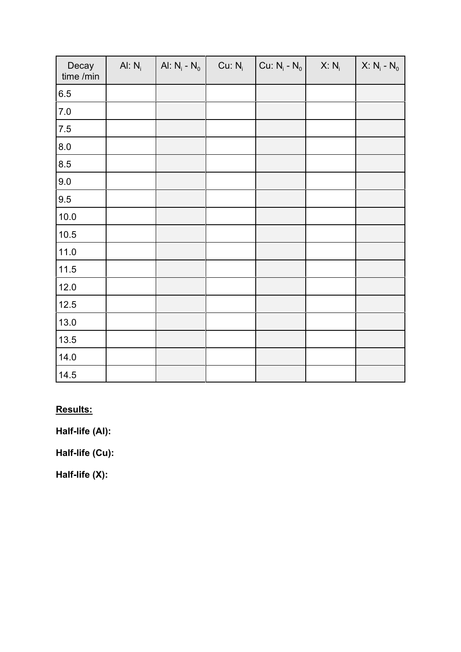| Decay<br>time /min | Al: $N_i$ | Al: $N_i - N_0$ | Cu: N <sub>i</sub> | $ $ Cu: N <sub>i</sub> - N <sub>0</sub> | $X: N_i$ | $X: N_i - N_0$ |
|--------------------|-----------|-----------------|--------------------|-----------------------------------------|----------|----------------|
| 6.5                |           |                 |                    |                                         |          |                |
| $7.0$              |           |                 |                    |                                         |          |                |
| $7.5\,$            |           |                 |                    |                                         |          |                |
| 8.0                |           |                 |                    |                                         |          |                |
| 8.5                |           |                 |                    |                                         |          |                |
| 9.0                |           |                 |                    |                                         |          |                |
| 9.5                |           |                 |                    |                                         |          |                |
| 10.0               |           |                 |                    |                                         |          |                |
| 10.5               |           |                 |                    |                                         |          |                |
| 11.0               |           |                 |                    |                                         |          |                |
| 11.5               |           |                 |                    |                                         |          |                |
| 12.0               |           |                 |                    |                                         |          |                |
| 12.5               |           |                 |                    |                                         |          |                |
| 13.0               |           |                 |                    |                                         |          |                |
| 13.5               |           |                 |                    |                                         |          |                |
| 14.0               |           |                 |                    |                                         |          |                |
| 14.5               |           |                 |                    |                                         |          |                |

Results:

Half-life (Al):

Half-life (Cu):

Half-life (X):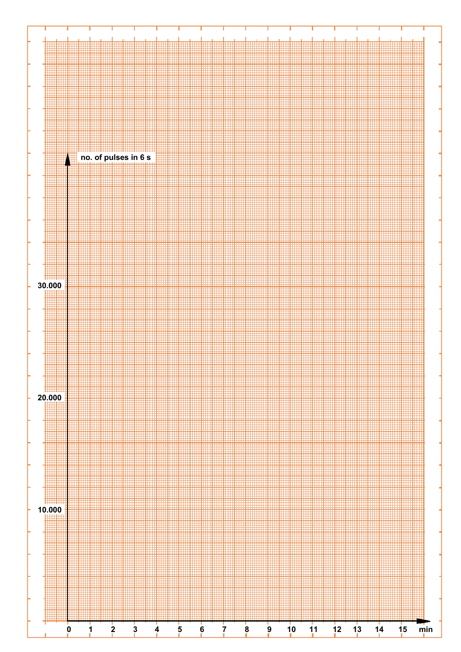